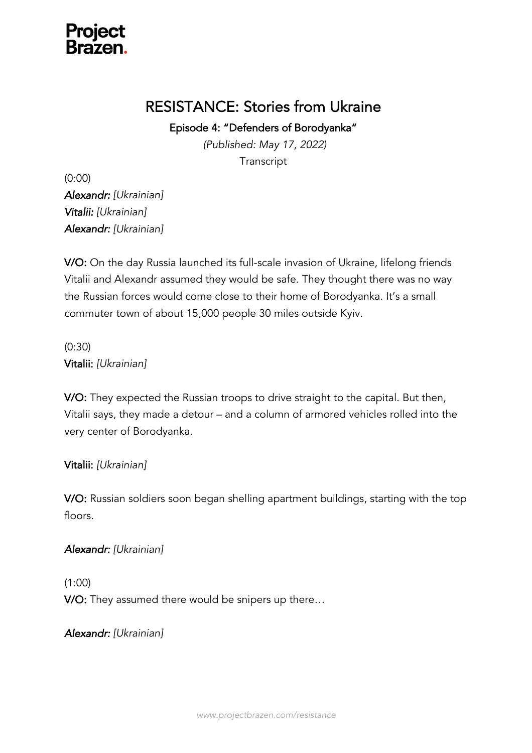

# RESISTANCE: Stories from Ukraine

Episode 4: "Defenders of Borodyanka"

*(Published: May 17, 2022)* **Transcript** 

(0:00) *Alexandr: [Ukrainian] Vitalii: [Ukrainian] Alexandr: [Ukrainian]*

V/O: On the day Russia launched its full-scale invasion of Ukraine, lifelong friends Vitalii and Alexandr assumed they would be safe. They thought there was no way the Russian forces would come close to their home of Borodyanka. It's a small commuter town of about 15,000 people 30 miles outside Kyiv.

(0:30) Vitalii: *[Ukrainian]*

V/O: They expected the Russian troops to drive straight to the capital. But then, Vitalii says, they made a detour – and a column of armored vehicles rolled into the very center of Borodyanka.

### Vitalii: *[Ukrainian]*

V/O: Russian soldiers soon began shelling apartment buildings, starting with the top floors.

*Alexandr: [Ukrainian]*

(1:00) V/O: They assumed there would be snipers up there…

*Alexandr: [Ukrainian]*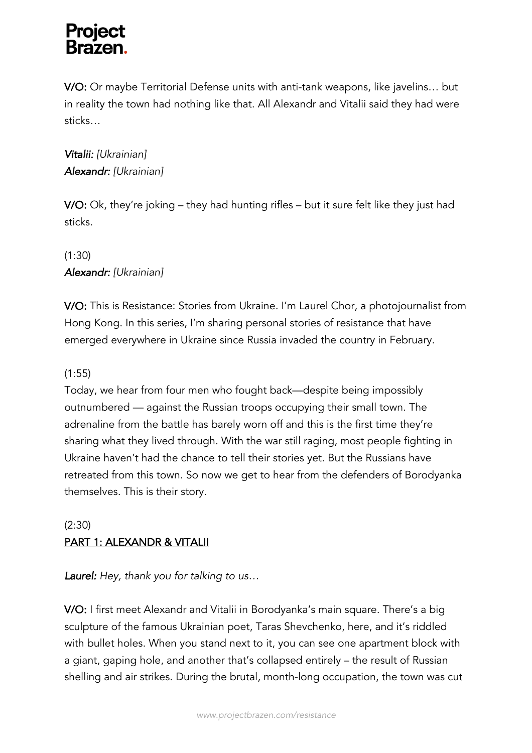V/O: Or maybe Territorial Defense units with anti-tank weapons, like javelins… but in reality the town had nothing like that. All Alexandr and Vitalii said they had were sticks…

# *Vitalii: [Ukrainian] Alexandr: [Ukrainian]*

V/O: Ok, they're joking – they had hunting rifles – but it sure felt like they just had sticks.

# (1:30) *Alexandr: [Ukrainian]*

V/O: This is Resistance: Stories from Ukraine. I'm Laurel Chor, a photojournalist from Hong Kong. In this series, I'm sharing personal stories of resistance that have emerged everywhere in Ukraine since Russia invaded the country in February.

# (1:55)

Today, we hear from four men who fought back—despite being impossibly outnumbered — against the Russian troops occupying their small town. The adrenaline from the battle has barely worn off and this is the first time they're sharing what they lived through. With the war still raging, most people fighting in Ukraine haven't had the chance to tell their stories yet. But the Russians have retreated from this town. So now we get to hear from the defenders of Borodyanka themselves. This is their story.

# (2:30) PART 1: ALEXANDR & VITALII

*Laurel: Hey, thank you for talking to us…*

V/O: I first meet Alexandr and Vitalii in Borodyanka's main square. There's a big sculpture of the famous Ukrainian poet, Taras Shevchenko, here, and it's riddled with bullet holes. When you stand next to it, you can see one apartment block with a giant, gaping hole, and another that's collapsed entirely – the result of Russian shelling and air strikes. During the brutal, month-long occupation, the town was cut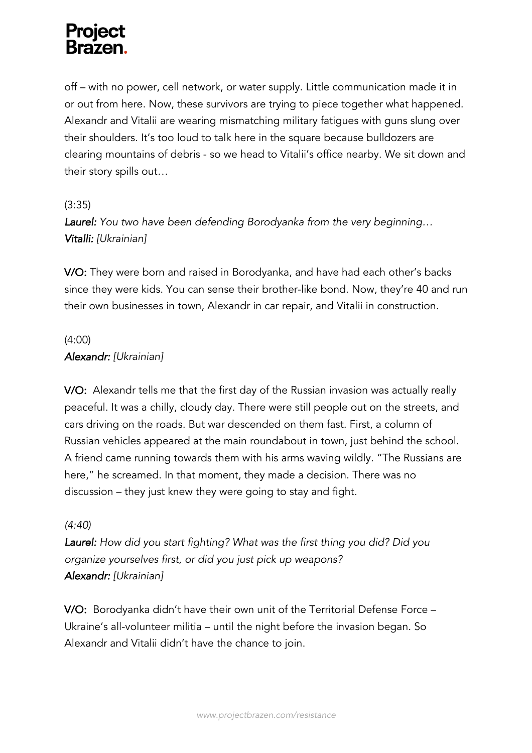off – with no power, cell network, or water supply. Little communication made it in or out from here. Now, these survivors are trying to piece together what happened. Alexandr and Vitalii are wearing mismatching military fatigues with guns slung over their shoulders. It's too loud to talk here in the square because bulldozers are clearing mountains of debris - so we head to Vitalii's office nearby. We sit down and their story spills out…

# (3:35)

*Laurel: You two have been defending Borodyanka from the very beginning… Vitalli: [Ukrainian]*

V/O: They were born and raised in Borodyanka, and have had each other's backs since they were kids. You can sense their brother-like bond. Now, they're 40 and run their own businesses in town, Alexandr in car repair, and Vitalii in construction.

# (4:00) *Alexandr: [Ukrainian]*

V/O: Alexandr tells me that the first day of the Russian invasion was actually really peaceful. It was a chilly, cloudy day. There were still people out on the streets, and cars driving on the roads. But war descended on them fast. First, a column of Russian vehicles appeared at the main roundabout in town, just behind the school. A friend came running towards them with his arms waving wildly. "The Russians are here," he screamed. In that moment, they made a decision. There was no discussion – they just knew they were going to stay and fight.

# *(4:40)*

*Laurel: How did you start fighting? What was the first thing you did? Did you organize yourselves first, or did you just pick up weapons? Alexandr: [Ukrainian]*

V/O: Borodyanka didn't have their own unit of the Territorial Defense Force – Ukraine's all-volunteer militia – until the night before the invasion began. So Alexandr and Vitalii didn't have the chance to join.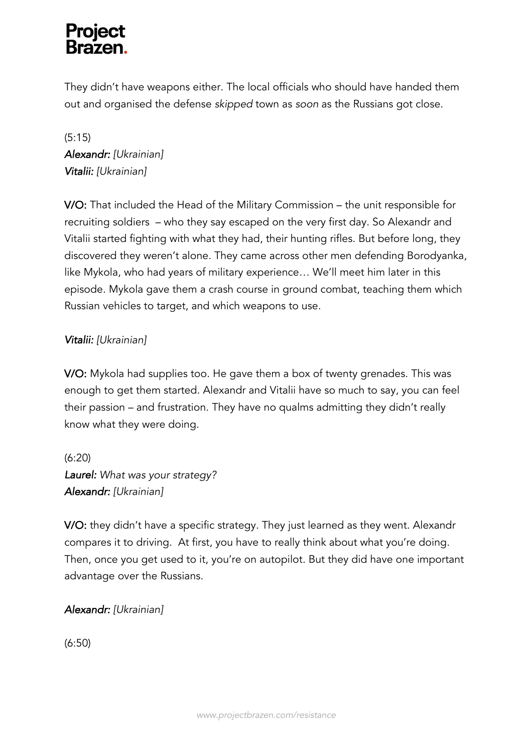# **Project**

They didn't have weapons either. The local officials who should have handed them out and organised the defense *skipped* town as *soon* as the Russians got close.

(5:15) *Alexandr: [Ukrainian] Vitalii: [Ukrainian]*

V/O: That included the Head of the Military Commission – the unit responsible for recruiting soldiers – who they say escaped on the very first day. So Alexandr and Vitalii started fighting with what they had, their hunting rifles. But before long, they discovered they weren't alone. They came across other men defending Borodyanka, like Mykola, who had years of military experience… We'll meet him later in this episode. Mykola gave them a crash course in ground combat, teaching them which Russian vehicles to target, and which weapons to use.

# *Vitalii: [Ukrainian]*

V/O: Mykola had supplies too. He gave them a box of twenty grenades. This was enough to get them started. Alexandr and Vitalii have so much to say, you can feel their passion – and frustration. They have no qualms admitting they didn't really know what they were doing.

(6:20) *Laurel: What was your strategy? Alexandr: [Ukrainian]*

V/O: they didn't have a specific strategy. They just learned as they went. Alexandr compares it to driving. At first, you have to really think about what you're doing. Then, once you get used to it, you're on autopilot. But they did have one important advantage over the Russians.

*Alexandr: [Ukrainian]*

(6:50)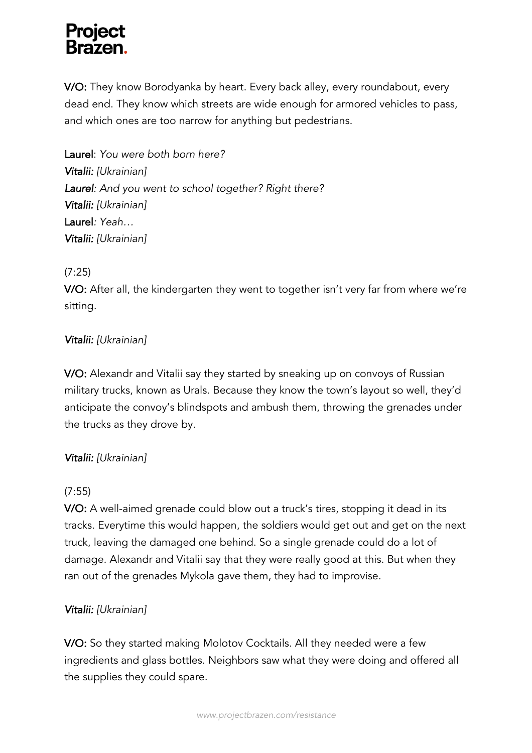V/O: They know Borodyanka by heart. Every back alley, every roundabout, every dead end. They know which streets are wide enough for armored vehicles to pass, and which ones are too narrow for anything but pedestrians.

Laurel: *You were both born here? Vitalii: [Ukrainian] Laurel: And you went to school together? Right there? Vitalii: [Ukrainian]* Laurel*: Yeah… Vitalii: [Ukrainian]*

# (7:25)

V/O: After all, the kindergarten they went to together isn't very far from where we're sitting.

# *Vitalii: [Ukrainian]*

V/O: Alexandr and Vitalii say they started by sneaking up on convoys of Russian military trucks, known as Urals. Because they know the town's layout so well, they'd anticipate the convoy's blindspots and ambush them, throwing the grenades under the trucks as they drove by.

# *Vitalii: [Ukrainian]*

# (7:55)

V/O: A well-aimed grenade could blow out a truck's tires, stopping it dead in its tracks. Everytime this would happen, the soldiers would get out and get on the next truck, leaving the damaged one behind. So a single grenade could do a lot of damage. Alexandr and Vitalii say that they were really good at this. But when they ran out of the grenades Mykola gave them, they had to improvise.

# *Vitalii: [Ukrainian]*

V/O: So they started making Molotov Cocktails. All they needed were a few ingredients and glass bottles. Neighbors saw what they were doing and offered all the supplies they could spare.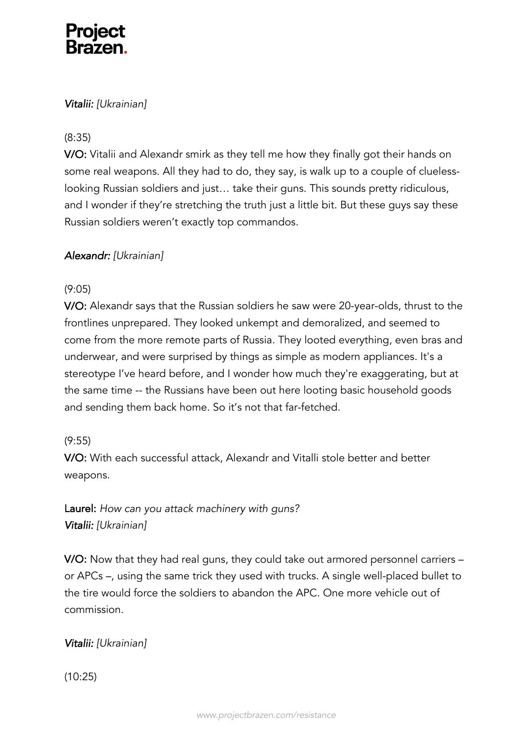# *Vitalii: [Ukrainian]*

# (8:35)

V/O: Vitalii and Alexandr smirk as they tell me how they finally got their hands on some real weapons. All they had to do, they say, is walk up to a couple of cluelesslooking Russian soldiers and just… take their guns. This sounds pretty ridiculous, and I wonder if they're stretching the truth just a little bit. But these guys say these Russian soldiers weren't exactly top commandos.

# *Alexandr: [Ukrainian]*

# (9:05)

V/O: Alexandr says that the Russian soldiers he saw were 20-year-olds, thrust to the frontlines unprepared. They looked unkempt and demoralized, and seemed to come from the more remote parts of Russia. They looted everything, even bras and underwear, and were surprised by things as simple as modern appliances. It's a stereotype I've heard before, and I wonder how much they're exaggerating, but at the same time -- the Russians have been out here looting basic household goods and sending them back home. So it's not that far-fetched.

# (9:55)

V/O: With each successful attack, Alexandr and Vitalli stole better and better weapons.

Laurel: *How can you attack machinery with guns? Vitalii: [Ukrainian]*

V/O: Now that they had real guns, they could take out armored personnel carriers – or APCs –, using the same trick they used with trucks. A single well-placed bullet to the tire would force the soldiers to abandon the APC. One more vehicle out of commission.

# *Vitalii: [Ukrainian]*

(10:25)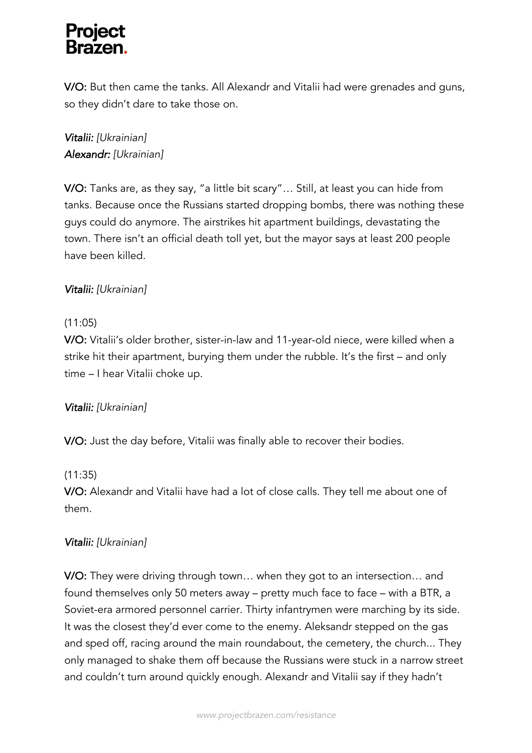V/O: But then came the tanks. All Alexandr and Vitalii had were grenades and guns, so they didn't dare to take those on.

# *Vitalii: [Ukrainian] Alexandr: [Ukrainian]*

V/O: Tanks are, as they say, "a little bit scary"… Still, at least you can hide from tanks. Because once the Russians started dropping bombs, there was nothing these guys could do anymore. The airstrikes hit apartment buildings, devastating the town. There isn't an official death toll yet, but the mayor says at least 200 people have been killed.

# *Vitalii: [Ukrainian]*

# (11:05)

V/O: Vitalii's older brother, sister-in-law and 11-year-old niece, were killed when a strike hit their apartment, burying them under the rubble. It's the first – and only time – I hear Vitalii choke up.

# *Vitalii: [Ukrainian]*

V/O: Just the day before, Vitalii was finally able to recover their bodies.

# (11:35)

V/O: Alexandr and Vitalii have had a lot of close calls. They tell me about one of them.

# *Vitalii: [Ukrainian]*

V/O: They were driving through town… when they got to an intersection… and found themselves only 50 meters away – pretty much face to face – with a BTR, a Soviet-era armored personnel carrier. Thirty infantrymen were marching by its side. It was the closest they'd ever come to the enemy. Aleksandr stepped on the gas and sped off, racing around the main roundabout, the cemetery, the church... They only managed to shake them off because the Russians were stuck in a narrow street and couldn't turn around quickly enough. Alexandr and Vitalii say if they hadn't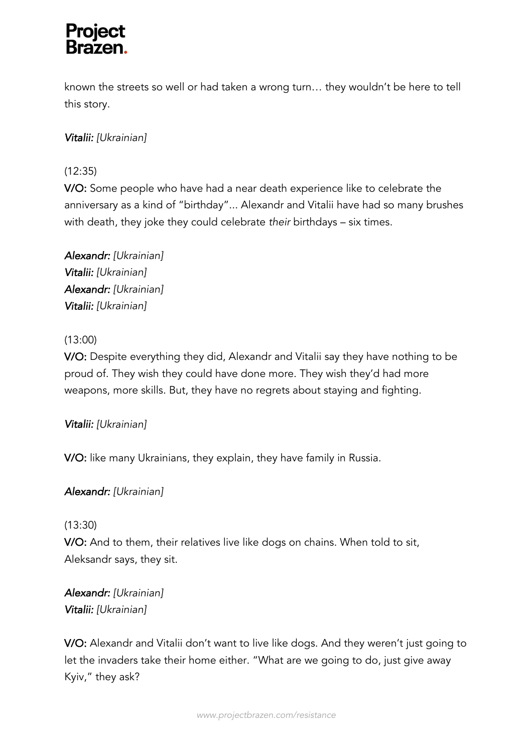known the streets so well or had taken a wrong turn… they wouldn't be here to tell this story.

# *Vitalii: [Ukrainian]*

# (12:35)

V/O: Some people who have had a near death experience like to celebrate the anniversary as a kind of "birthday"... Alexandr and Vitalii have had so many brushes with death, they joke they could celebrate *their* birthdays – six times.

*Alexandr: [Ukrainian] Vitalii: [Ukrainian] Alexandr: [Ukrainian] Vitalii: [Ukrainian]*

# (13:00)

V/O: Despite everything they did, Alexandr and Vitalii say they have nothing to be proud of. They wish they could have done more. They wish they'd had more weapons, more skills. But, they have no regrets about staying and fighting.

# *Vitalii: [Ukrainian]*

V/O: like many Ukrainians, they explain, they have family in Russia.

# *Alexandr: [Ukrainian]*

# (13:30)

V/O: And to them, their relatives live like dogs on chains. When told to sit, Aleksandr says, they sit.

*Alexandr: [Ukrainian] Vitalii: [Ukrainian]*

V/O: Alexandr and Vitalii don't want to live like dogs. And they weren't just going to let the invaders take their home either. "What are we going to do, just give away Kyiv," they ask?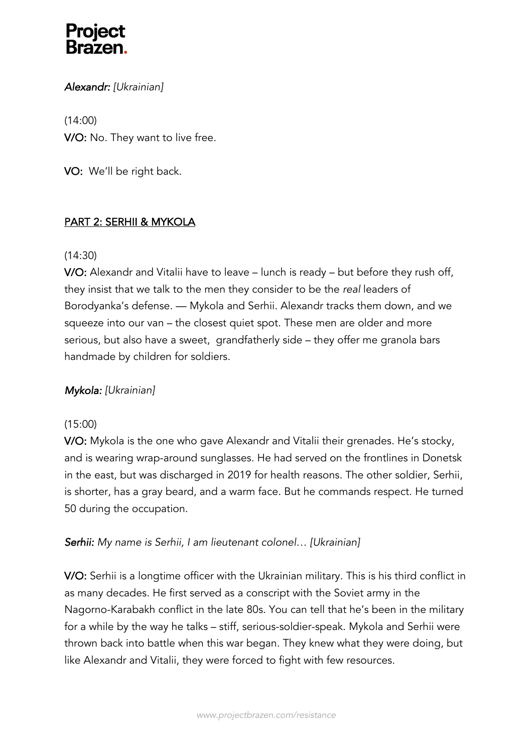

### *Alexandr: [Ukrainian]*

(14:00) V/O: No. They want to live free.

VO: We'll be right back.

### PART 2: SERHII & MYKOLA

#### (14:30)

V/O: Alexandr and Vitalii have to leave – lunch is ready – but before they rush off, they insist that we talk to the men they consider to be the *real* leaders of Borodyanka's defense. — Mykola and Serhii. Alexandr tracks them down, and we squeeze into our van – the closest quiet spot. These men are older and more serious, but also have a sweet, grandfatherly side – they offer me granola bars handmade by children for soldiers.

### *Mykola: [Ukrainian]*

### (15:00)

V/O: Mykola is the one who gave Alexandr and Vitalii their grenades. He's stocky, and is wearing wrap-around sunglasses. He had served on the frontlines in Donetsk in the east, but was discharged in 2019 for health reasons. The other soldier, Serhii, is shorter, has a gray beard, and a warm face. But he commands respect. He turned 50 during the occupation.

### *Serhii: My name is Serhii, I am lieutenant colonel… [Ukrainian]*

V/O: Serhii is a longtime officer with the Ukrainian military. This is his third conflict in as many decades. He first served as a conscript with the Soviet army in the Nagorno-Karabakh conflict in the late 80s. You can tell that he's been in the military for a while by the way he talks – stiff, serious-soldier-speak. Mykola and Serhii were thrown back into battle when this war began. They knew what they were doing, but like Alexandr and Vitalii, they were forced to fight with few resources.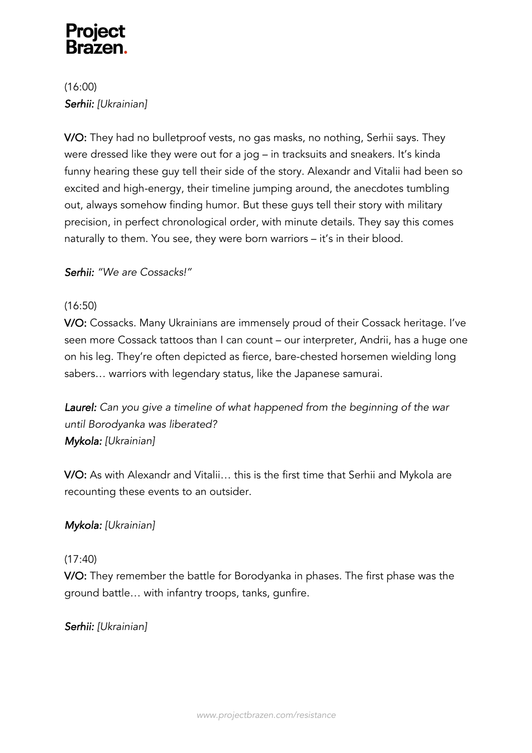(16:00) *Serhii: [Ukrainian]*

V/O: They had no bulletproof vests, no gas masks, no nothing, Serhii says. They were dressed like they were out for a jog – in tracksuits and sneakers. It's kinda funny hearing these guy tell their side of the story. Alexandr and Vitalii had been so excited and high-energy, their timeline jumping around, the anecdotes tumbling out, always somehow finding humor. But these guys tell their story with military precision, in perfect chronological order, with minute details. They say this comes naturally to them. You see, they were born warriors – it's in their blood.

# *Serhii: "We are Cossacks!"*

# (16:50)

V/O: Cossacks. Many Ukrainians are immensely proud of their Cossack heritage. I've seen more Cossack tattoos than I can count – our interpreter, Andrii, has a huge one on his leg. They're often depicted as fierce, bare-chested horsemen wielding long sabers… warriors with legendary status, like the Japanese samurai.

*Laurel: Can you give a timeline of what happened from the beginning of the war until Borodyanka was liberated? Mykola: [Ukrainian]*

V/O: As with Alexandr and Vitalii… this is the first time that Serhii and Mykola are recounting these events to an outsider.

# *Mykola: [Ukrainian]*

### (17:40)

V/O: They remember the battle for Borodyanka in phases. The first phase was the ground battle… with infantry troops, tanks, gunfire.

*Serhii: [Ukrainian]*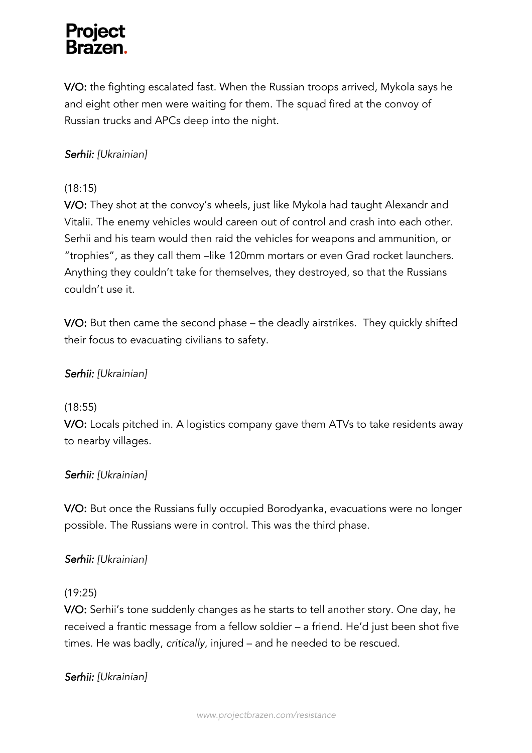V/O: the fighting escalated fast. When the Russian troops arrived, Mykola says he and eight other men were waiting for them. The squad fired at the convoy of Russian trucks and APCs deep into the night.

# *Serhii: [Ukrainian]*

# (18:15)

V/O: They shot at the convoy's wheels, just like Mykola had taught Alexandr and Vitalii. The enemy vehicles would careen out of control and crash into each other. Serhii and his team would then raid the vehicles for weapons and ammunition, or "trophies", as they call them –like 120mm mortars or even Grad rocket launchers. Anything they couldn't take for themselves, they destroyed, so that the Russians couldn't use it.

V/O: But then came the second phase – the deadly airstrikes. They quickly shifted their focus to evacuating civilians to safety.

# *Serhii: [Ukrainian]*

# (18:55)

V/O: Locals pitched in. A logistics company gave them ATVs to take residents away to nearby villages.

# *Serhii: [Ukrainian]*

V/O: But once the Russians fully occupied Borodyanka, evacuations were no longer possible. The Russians were in control. This was the third phase.

# *Serhii: [Ukrainian]*

### (19:25)

V/O: Serhii's tone suddenly changes as he starts to tell another story. One day, he received a frantic message from a fellow soldier – a friend. He'd just been shot five times. He was badly, *critically*, injured – and he needed to be rescued.

# *Serhii: [Ukrainian]*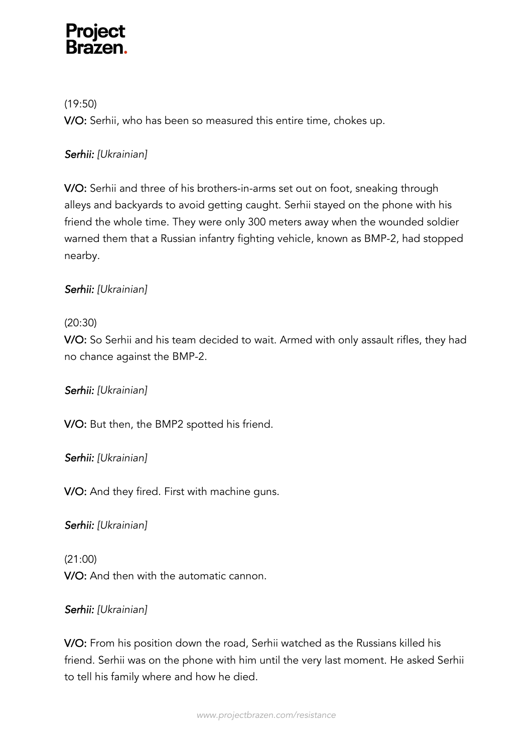(19:50) V/O: Serhii, who has been so measured this entire time, chokes up.

# *Serhii: [Ukrainian]*

V/O: Serhii and three of his brothers-in-arms set out on foot, sneaking through alleys and backyards to avoid getting caught. Serhii stayed on the phone with his friend the whole time. They were only 300 meters away when the wounded soldier warned them that a Russian infantry fighting vehicle, known as BMP-2, had stopped nearby.

# *Serhii: [Ukrainian]*

# (20:30)

V/O: So Serhii and his team decided to wait. Armed with only assault rifles, they had no chance against the BMP-2.

# *Serhii: [Ukrainian]*

V/O: But then, the BMP2 spotted his friend.

*Serhii: [Ukrainian]*

V/O: And they fired. First with machine guns.

*Serhii: [Ukrainian]*

(21:00) V/O: And then with the automatic cannon.

# *Serhii: [Ukrainian]*

V/O: From his position down the road, Serhii watched as the Russians killed his friend. Serhii was on the phone with him until the very last moment. He asked Serhii to tell his family where and how he died.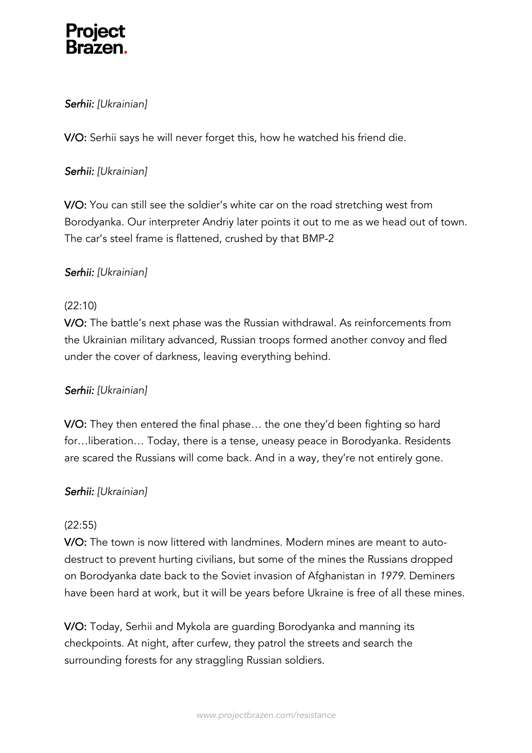

# *Serhii: [Ukrainian]*

V/O: Serhii says he will never forget this, how he watched his friend die.

### *Serhii: [Ukrainian]*

V/O: You can still see the soldier's white car on the road stretching west from Borodyanka. Our interpreter Andriy later points it out to me as we head out of town. The car's steel frame is flattened, crushed by that BMP-2

### *Serhii: [Ukrainian]*

### (22:10)

V/O: The battle's next phase was the Russian withdrawal. As reinforcements from the Ukrainian military advanced, Russian troops formed another convoy and fled under the cover of darkness, leaving everything behind.

### *Serhii: [Ukrainian]*

V/O: They then entered the final phase… the one they'd been fighting so hard for…liberation… Today, there is a tense, uneasy peace in Borodyanka. Residents are scared the Russians will come back. And in a way, they're not entirely gone.

### *Serhii: [Ukrainian]*

### (22:55)

V/O: The town is now littered with landmines. Modern mines are meant to autodestruct to prevent hurting civilians, but some of the mines the Russians dropped on Borodyanka date back to the Soviet invasion of Afghanistan in *1979.* Deminers have been hard at work, but it will be years before Ukraine is free of all these mines.

V/O: Today, Serhii and Mykola are guarding Borodyanka and manning its checkpoints. At night, after curfew, they patrol the streets and search the surrounding forests for any straggling Russian soldiers.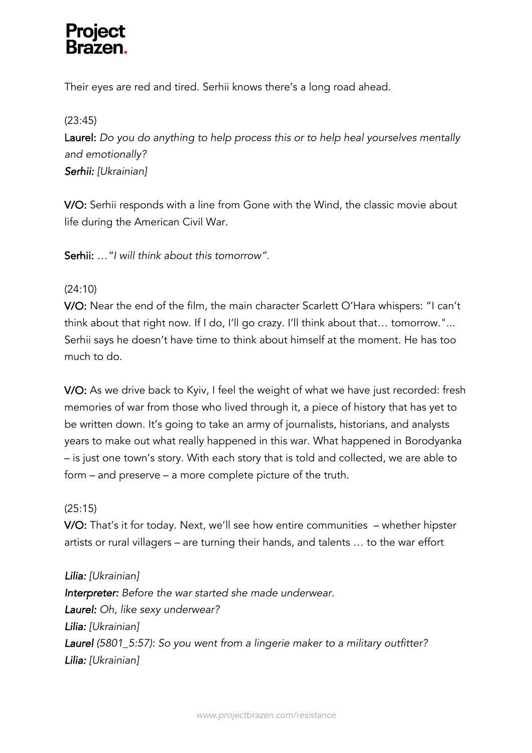Their eyes are red and tired. Serhii knows there's a long road ahead.

### (23:45)

Laurel: *Do you do anything to help process this or to help heal yourselves mentally and emotionally? Serhii: [Ukrainian]*

V/O: Serhii responds with a line from Gone with the Wind, the classic movie about life during the American Civil War.

Serhii: …*"I will think about this tomorrow".* 

### (24:10)

V/O: Near the end of the film, the main character Scarlett O'Hara whispers: "I can't think about that right now. If I do, I'll go crazy. I'll think about that… tomorrow."... Serhii says he doesn't have time to think about himself at the moment. He has too much to do.

V/O: As we drive back to Kyiv, I feel the weight of what we have just recorded: fresh memories of war from those who lived through it, a piece of history that has yet to be written down. It's going to take an army of journalists, historians, and analysts years to make out what really happened in this war. What happened in Borodyanka – is just one town's story. With each story that is told and collected, we are able to form – and preserve – a more complete picture of the truth.

### (25:15)

V/O: That's it for today. Next, we'll see how entire communities – whether hipster artists or rural villagers – are turning their hands, and talents … to the war effort

*Lilia: [Ukrainian] Interpreter: Before the war started she made underwear. Laurel: Oh, like sexy underwear? Lilia: [Ukrainian] Laurel (5801\_5:57): So you went from a lingerie maker to a military outfitter? Lilia: [Ukrainian]*